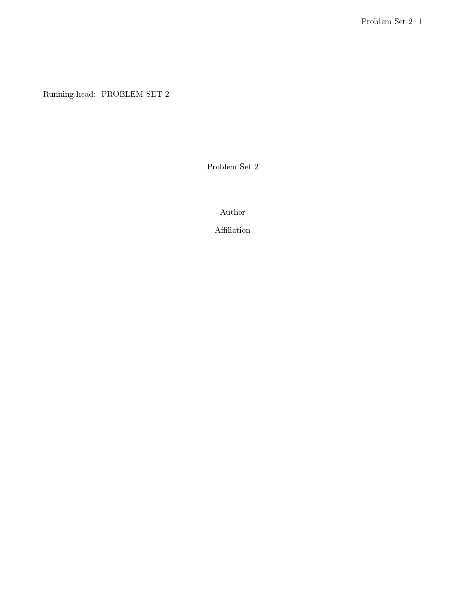Running head: PROBLEM SET 2

Problem Set 2

Author

Affiliation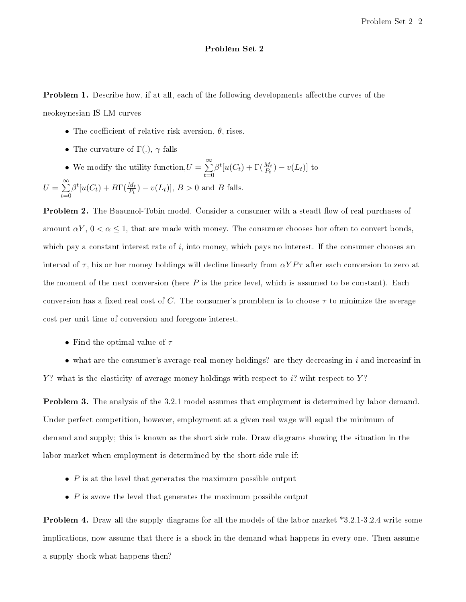## Problem Set 2

**Problem 1.** Describe how, if at all, each of the following developments affect the curves of the neokeynesian IS LM curves

- The coefficient of relative risk aversion,  $\theta$ , rises.
- The curvature of  $\Gamma(.)$ ,  $\gamma$  falls
- We modify the utility function,  $U = \sum_{n=1}^{\infty}$  $t=0$  $\beta^t[u(C_t)+\Gamma(\frac{M_t}{P_t})-v(L_t)]$  to

$$
U = \sum_{t=0}^{\infty} \beta^t [u(C_t) + B\Gamma(\tfrac{M_t}{P_t}) - v(L_t)], B > 0 \text{ and } B \text{ falls.}
$$

**Problem 2.** The Baaumol-Tobin model. Consider a consumer with a steadt flow of real purchases of amount  $\alpha Y$ ,  $0 < \alpha \leq 1$ , that are made with money. The consumer chooses hor often to convert bonds, which pay a constant interest rate of  $i$ , into money, which pays no interest. If the consumer chooses an interval of  $\tau$ , his or her money holdings will decline linearly from  $\alpha Y P \tau$  after each conversion to zero at the moment of the next conversion (here  $P$  is the price level, which is assumed to be constant). Each conversion has a fixed real cost of C. The consumer's promblem is to choose  $\tau$  to minimize the average cost per unit time of conversion and foregone interest.

• Find the optimal value of  $\tau$ 

• what are the consumer's average real money holdings? are they decreasing in  $i$  and increasinf in Y? what is the elasticity of average money holdings with respect to  $i$ ? wiht respect to Y?

Problem 3. The analysis of the 3.2.1 model assumes that employment is determined by labor demand. Under perfect competition, however, employment at a given real wage will equal the minimum of demand and supply; this is known as the short side rule. Draw diagrams showing the situation in the labor market when employment is determined by the short-side rule if:

- $P$  is at the level that generates the maximum possible output
- $\bullet$  P is avove the level that generates the maximum possible output

Problem 4. Draw all the supply diagrams for all the models of the labor market \*3.2.1-3.2.4 write some implications, now assume that there is a shock in the demand what happens in every one. Then assume a supply shock what happens then?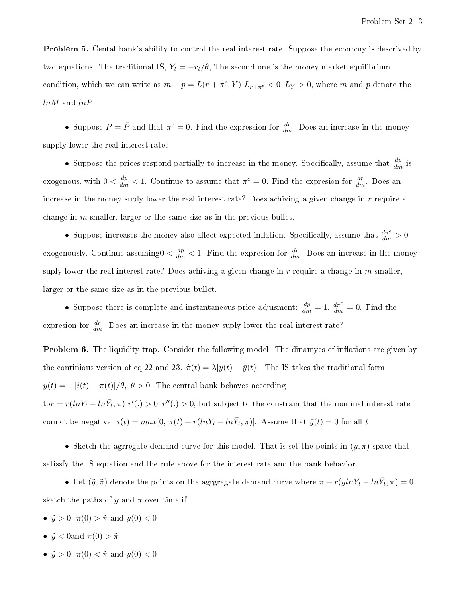**Problem 5.** Cental bank's ability to control the real interest rate. Suppose the economy is descrived by two equations. The traditional IS,  $Y_t = -r_t/\theta$ , The second one is the money market equilibrium condition, which we can write as  $m - p = L(r + \pi^e, Y) L_{r + \pi^e} < 0 L_Y > 0$ , where m and p denote the lnM and lnP

• Suppose  $P = \bar{P}$  and that  $\pi^e = 0$ . Find the expression for  $\frac{dr}{dm}$ . Does an increase in the money supply lower the real interest rate?

• Suppose the prices respond partially to increase in the money. Specifically, assume that  $\frac{dp}{dm}$  is exogenous, with  $0 < \frac{dp}{dm} < 1$ . Continue to assume that  $\pi^e = 0$ . Find the expresion for  $\frac{dr}{dm}$ . Does an increase in the money suply lower the real interest rate? Does achiving a given change in  $r$  require a change in  $m$  smaller, larger or the same size as in the previous bullet.

• Suppose increases the money also affect expected inflation. Specifically, assume that  $\frac{d\pi^e}{dm} > 0$ exogenously. Continue assuming  $0 < \frac{dp}{dm} < 1$ . Find the expresion for  $\frac{dr}{dm}$ . Does an increase in the money suply lower the real interest rate? Does achiving a given change in  $r$  require a change in  $m$  smaller, larger or the same size as in the previous bullet.

• Suppose there is complete and instantaneous price adjusment:  $\frac{dp}{dm} = 1$ ,  $\frac{d\pi^e}{dm} = 0$ . Find the expresion for  $\frac{dr}{dm}$ . Does an increase in the money suply lower the real interest rate?

**Problem 6.** The liquidity trap. Consider the following model. The dinamycs of inflations are given by the continious version of eq 22 and 23.  $\dot{\pi}(t) = \lambda[y(t) - \bar{y}(t)]$ . The IS takes the traditional form  $y(t) = -[i(t) - \pi(t)]/\theta$ ,  $\theta > 0$ . The central bank behaves according tor =  $r(lnY_t - ln\bar{Y}_t, \pi)$   $r'(.) > 0$   $r''(.) > 0$ , but subject to the constrain that the nominal interest rate connot be negative:  $i(t) = max[0, \pi(t) + r(lnY_t - ln\bar{Y}_t, \pi)]$ . Assume that  $\bar{y}(t) = 0$  for all t

• Sketch the agreegate demand curve for this model. That is set the points in  $(y, \pi)$  space that satissfy the IS equation and the rule above for the interest rate and the bank behavior

• Let  $(\tilde{y}, \tilde{\pi})$  denote the points on the agrgregate demand curve where  $\pi + r(y \ln Y_t - \ln \bar{Y}_t, \pi) = 0$ . sketch the paths of y and  $\pi$  over time if

- $\tilde{y} > 0$ ,  $\pi(0) > \tilde{\pi}$  and  $y(0) < 0$
- $\tilde{y} < 0$ and  $\pi(0) > \tilde{\pi}$
- $\tilde{y} > 0$ ,  $\pi(0) < \tilde{\pi}$  and  $y(0) < 0$